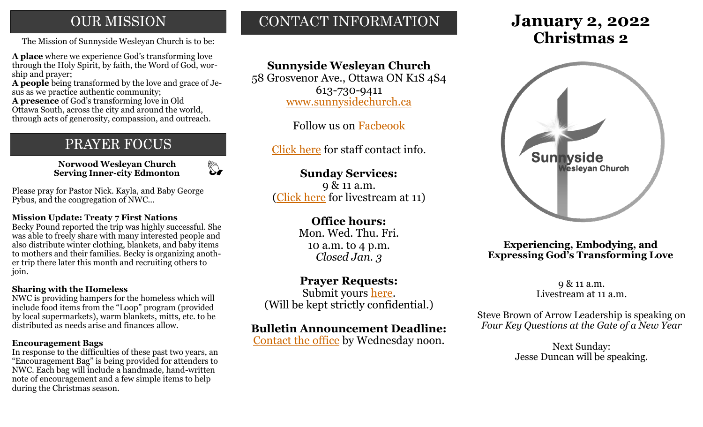## **OUR MISSION**

The Mission of Sunnyside Wesleyan Church is to be: **Christmas 2** 

**A place** where we experience God's transforming love through the Holy Spirit, by faith, the Word of God, worship and prayer;

**A people** being transformed by the love and grace of Jesus as we practice authentic community;

**A presence** of God's transforming love in Old Ottawa South, across the city and around the world, through acts of generosity, compassion, and outreach.

## PRAYER FOCUS

 **Norwood Wesleyan Church Serving Inner-city Edmonton**

 $\mathbb{Z}$ 

Please pray for Pastor Nick. Kayla, and Baby George Pybus, and the congregation of NWC...

#### **Mission Update: Treaty 7 First Nations**

Becky Pound reported the trip was highly successful. She was able to freely share with many interested people and also distribute winter clothing, blankets, and baby items to mothers and their families. Becky is organizing another trip there later this month and recruiting others to join.

#### **Sharing with the Homeless**

NWC is providing hampers for the homeless which will include food items from the "Loop" program (provided by local supermarkets), warm blankets, mitts, etc. to be distributed as needs arise and finances allow.

#### **Encouragement Bags**

In response to the difficulties of these past two years, an "Encouragement Bag" is being provided for attenders to NWC. Each bag will include a handmade, hand-written note of encouragement and a few simple items to help during the Christmas season.

## CONTACT INFORMATION

## **Sunnyside Wesleyan Church**

58 Grosvenor Ave., Ottawa ON K1S 4S4 613-730-9411 [www.sunnysidechurch.ca](http://www.sunnysidechurch.ca)

Follow us on [Facbeook](http://www.facebook.com/sunnysidewesleyanchurch)

[Click here](http://www.sunnysidechurch.ca/about-sunnyside/staff/) for staff contact info.

## **Sunday Services:**

9 & 11 a.m. ([Click here](https://youtube.com/channel/UCYfl9Qy37Az7fqqFQpDEwjg) for livestream at 11)

## **Office hours:**

Mon. Wed. Thu. Fri. 10 a.m. to 4 p.m. *Closed Jan. 3*

## **Prayer Requests:**

Submit yours [here.](mailto:prayer@sunnysidechurch.ca) (Will be kept strictly confidential.)

## **Bulletin Announcement Deadline:**

[Contact the office](mailto:office@sunnysidechurch.ca) by Wednesday noon.

# **January 2, 2022**



#### **Experiencing, Embodying, and Expressing God's Transforming Love**

9 & 11 a.m. Livestream at 11 a.m.

Steve Brown of Arrow Leadership is speaking on *Four Key Questions at the Gate of a New Year* 

> Next Sunday: Jesse Duncan will be speaking.